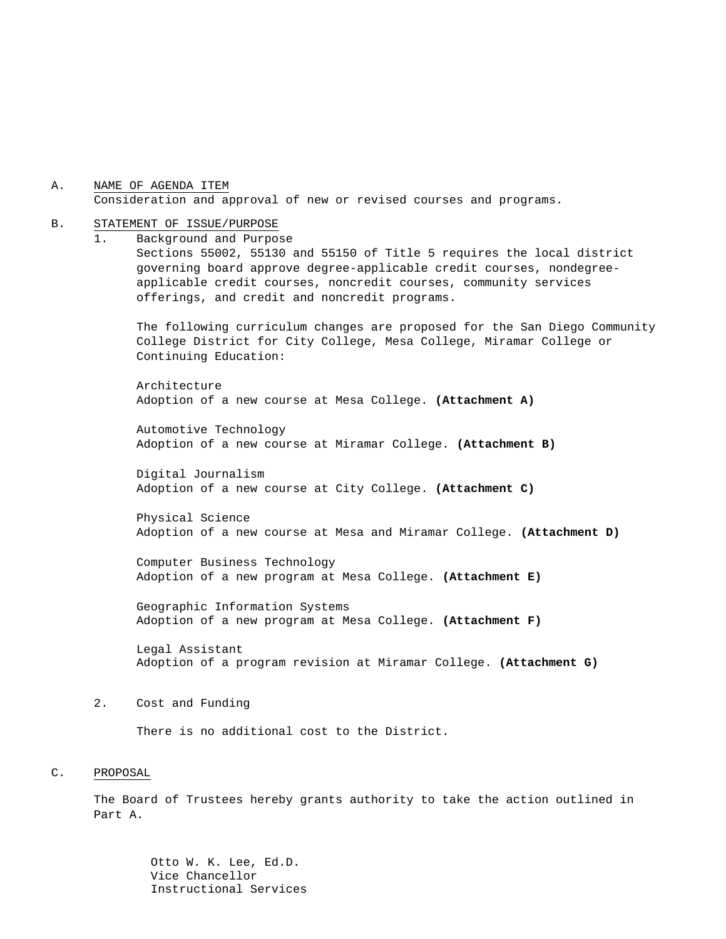A. NAME OF AGENDA ITEM Consideration and approval of new or revised courses and programs.

#### B. STATEMENT OF ISSUE/PURPOSE

1. Background and Purpose

Sections 55002, 55130 and 55150 of Title 5 requires the local district governing board approve degree-applicable credit courses, nondegreeapplicable credit courses, noncredit courses, community services offerings, and credit and noncredit programs.

The following curriculum changes are proposed for the San Diego Community College District for City College, Mesa College, Miramar College or Continuing Education:

Architecture Adoption of a new course at Mesa College. **(Attachment A)**

Automotive Technology Adoption of a new course at Miramar College. **(Attachment B)**

Digital Journalism Adoption of a new course at City College. **(Attachment C)**

Physical Science Adoption of a new course at Mesa and Miramar College. **(Attachment D)**

Computer Business Technology Adoption of a new program at Mesa College. **(Attachment E)**

Geographic Information Systems Adoption of a new program at Mesa College. **(Attachment F)**

Legal Assistant Adoption of a program revision at Miramar College. **(Attachment G)**

#### 2. Cost and Funding

There is no additional cost to the District.

#### C. PROPOSAL

The Board of Trustees hereby grants authority to take the action outlined in Part A.

> Otto W. K. Lee, Ed.D. Vice Chancellor Instructional Services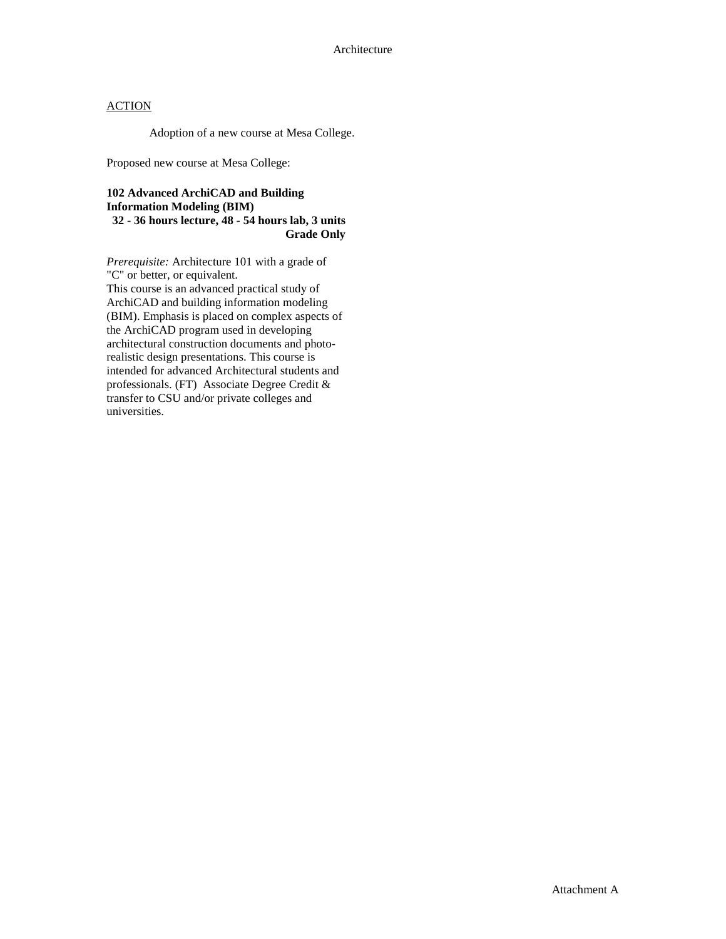Adoption of a new course at Mesa College.

Proposed new course at Mesa College:

#### **102 Advanced ArchiCAD and Building Information Modeling (BIM) 32 - 36 hours lecture, 48 - 54 hours lab, 3 units Grade Only**

*Prerequisite:* Architecture 101 with a grade of "C" or better, or equivalent. This course is an advanced practical study of

ArchiCAD and building information modeling (BIM). Emphasis is placed on complex aspects of the ArchiCAD program used in developing architectural construction documents and photorealistic design presentations. This course is intended for advanced Architectural students and professionals. (FT) Associate Degree Credit & transfer to CSU and/or private colleges and universities.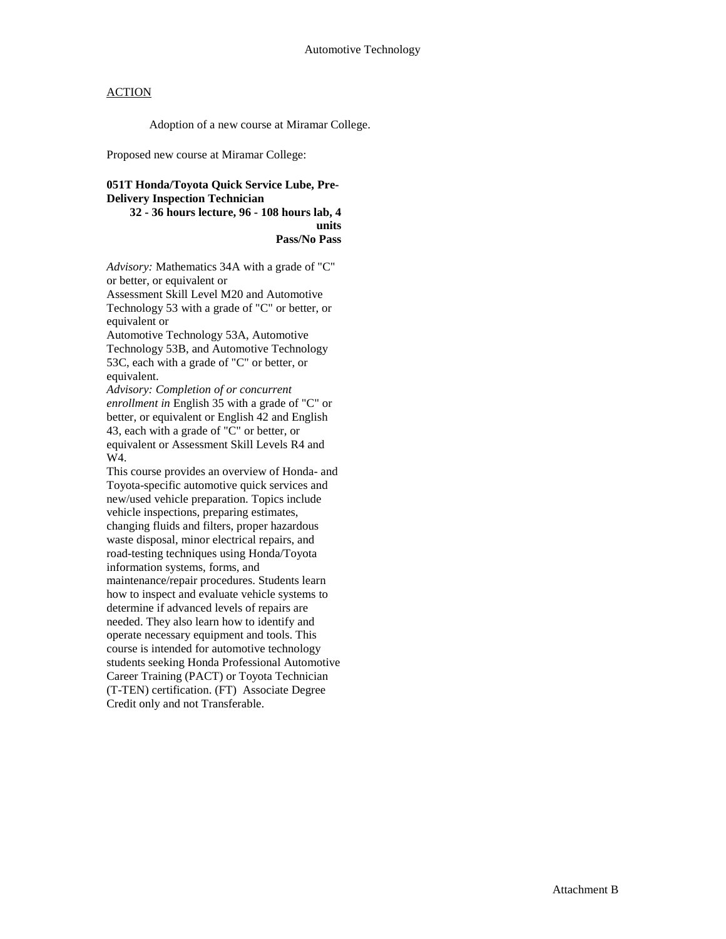Adoption of a new course at Miramar College.

Proposed new course at Miramar College:

### **051T Honda/Toyota Quick Service Lube, Pre-Delivery Inspection Technician**

**32 - 36 hours lecture, 96 - 108 hours lab, 4 units Pass/No Pass** 

*Advisory:* Mathematics 34A with a grade of "C" or better, or equivalent or

Assessment Skill Level M20 and Automotive Technology 53 with a grade of "C" or better, or equivalent or

Automotive Technology 53A, Automotive Technology 53B, and Automotive Technology 53C, each with a grade of "C" or better, or equivalent.

*Advisory: Completion of or concurrent enrollment in* English 35 with a grade of "C" or better, or equivalent or English 42 and English 43, each with a grade of "C" or better, or equivalent or Assessment Skill Levels R4 and W4.

This course provides an overview of Honda- and Toyota-specific automotive quick services and new/used vehicle preparation. Topics include vehicle inspections, preparing estimates, changing fluids and filters, proper hazardous waste disposal, minor electrical repairs, and road-testing techniques using Honda/Toyota information systems, forms, and maintenance/repair procedures. Students learn how to inspect and evaluate vehicle systems to determine if advanced levels of repairs are needed. They also learn how to identify and operate necessary equipment and tools. This course is intended for automotive technology students seeking Honda Professional Automotive Career Training (PACT) or Toyota Technician (T-TEN) certification. (FT) Associate Degree Credit only and not Transferable.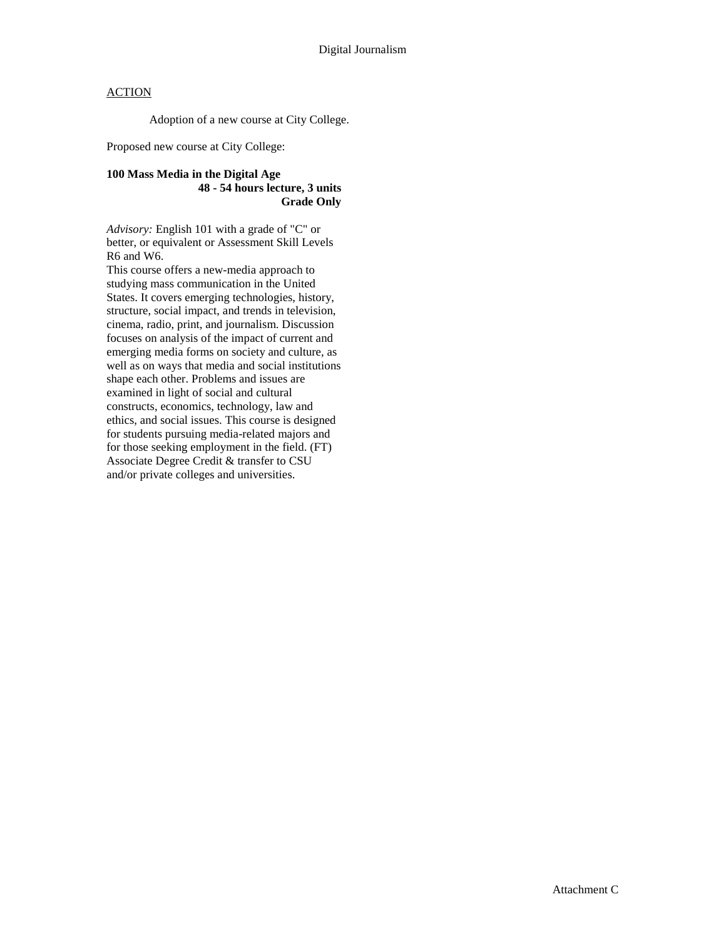Adoption of a new course at City College.

Proposed new course at City College:

#### **100 Mass Media in the Digital Age 48 - 54 hours lecture, 3 units Grade Only**

*Advisory:* English 101 with a grade of "C" or better, or equivalent or Assessment Skill Levels R6 and W6.

This course offers a new-media approach to studying mass communication in the United States. It covers emerging technologies, history, structure, social impact, and trends in television, cinema, radio, print, and journalism. Discussion focuses on analysis of the impact of current and emerging media forms on society and culture, as well as on ways that media and social institutions shape each other. Problems and issues are examined in light of social and cultural constructs, economics, technology, law and ethics, and social issues. This course is designed for students pursuing media-related majors and for those seeking employment in the field. (FT) Associate Degree Credit & transfer to CSU and/or private colleges and universities.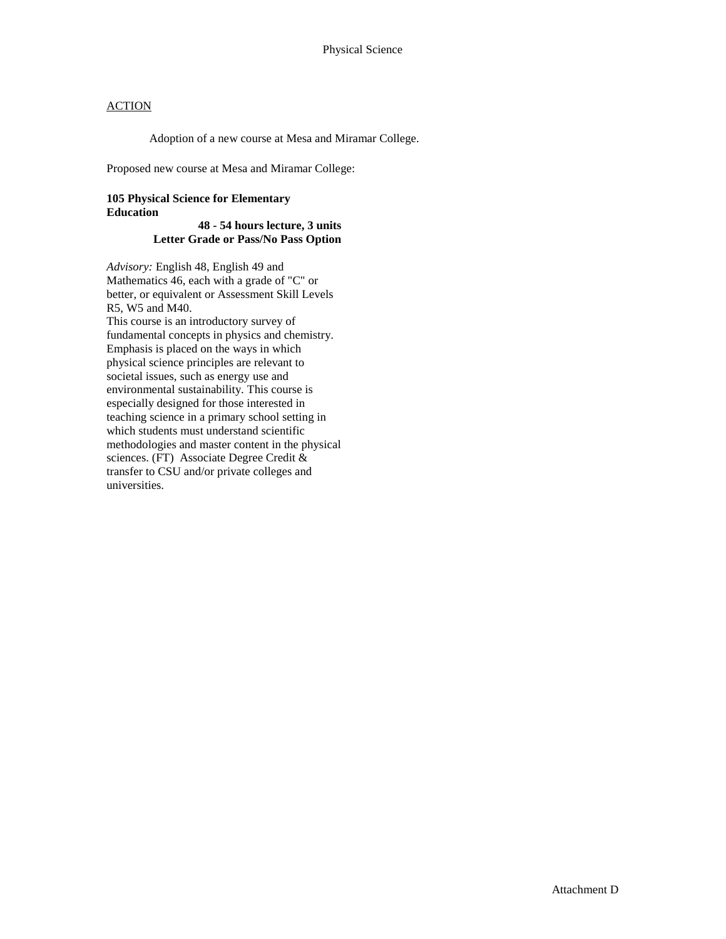Adoption of a new course at Mesa and Miramar College.

Proposed new course at Mesa and Miramar College:

### **105 Physical Science for Elementary Education**

#### **48 - 54 hours lecture, 3 units Letter Grade or Pass/No Pass Option**

*Advisory:* English 48, English 49 and Mathematics 46, each with a grade of "C" or better, or equivalent or Assessment Skill Levels R5, W5 and M40. This course is an introductory survey of fundamental concepts in physics and chemistry. Emphasis is placed on the ways in which physical science principles are relevant to societal issues, such as energy use and environmental sustainability. This course is especially designed for those interested in teaching science in a primary school setting in which students must understand scientific methodologies and master content in the physical sciences. (FT) Associate Degree Credit & transfer to CSU and/or private colleges and universities.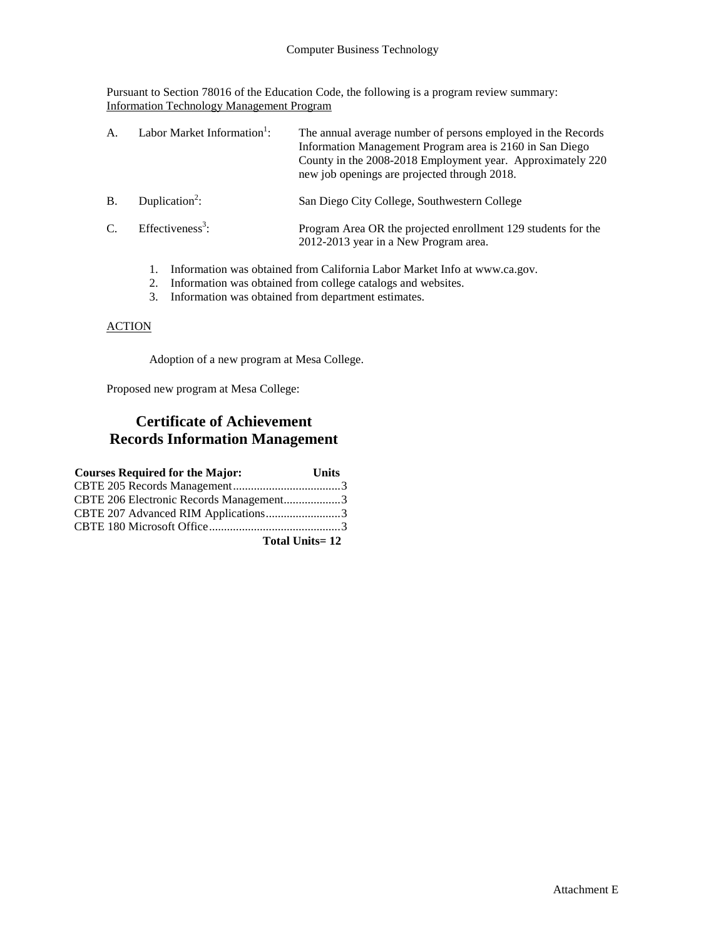Pursuant to Section 78016 of the Education Code, the following is a program review summary: Information Technology Management Program

| Α.            | Labor Market Information <sup>1</sup> : | The annual average number of persons employed in the Records<br>Information Management Program area is 2160 in San Diego<br>County in the 2008-2018 Employment year. Approximately 220<br>new job openings are projected through 2018. |
|---------------|-----------------------------------------|----------------------------------------------------------------------------------------------------------------------------------------------------------------------------------------------------------------------------------------|
| <sub>B</sub>  | Duplication <sup>2</sup> :              | San Diego City College, Southwestern College                                                                                                                                                                                           |
| $\mathcal{C}$ | Effectiveness <sup>3</sup> :            | Program Area OR the projected enrollment 129 students for the<br>2012-2013 year in a New Program area.                                                                                                                                 |
|               |                                         | Information was obtained from California Labor Market Info at www.ca.gov.                                                                                                                                                              |

- 2. Information was obtained from college catalogs and websites.
- 3. Information was obtained from department estimates.

### **ACTION**

Adoption of a new program at Mesa College.

Proposed new program at Mesa College:

## **Certificate of Achievement Records Information Management**

| <b>Courses Required for the Major:</b>  | <b>Units</b> |
|-----------------------------------------|--------------|
|                                         |              |
| CBTE 206 Electronic Records Management3 |              |
| CBTE 207 Advanced RIM Applications3     |              |
|                                         |              |
| <b>Total Units=12</b>                   |              |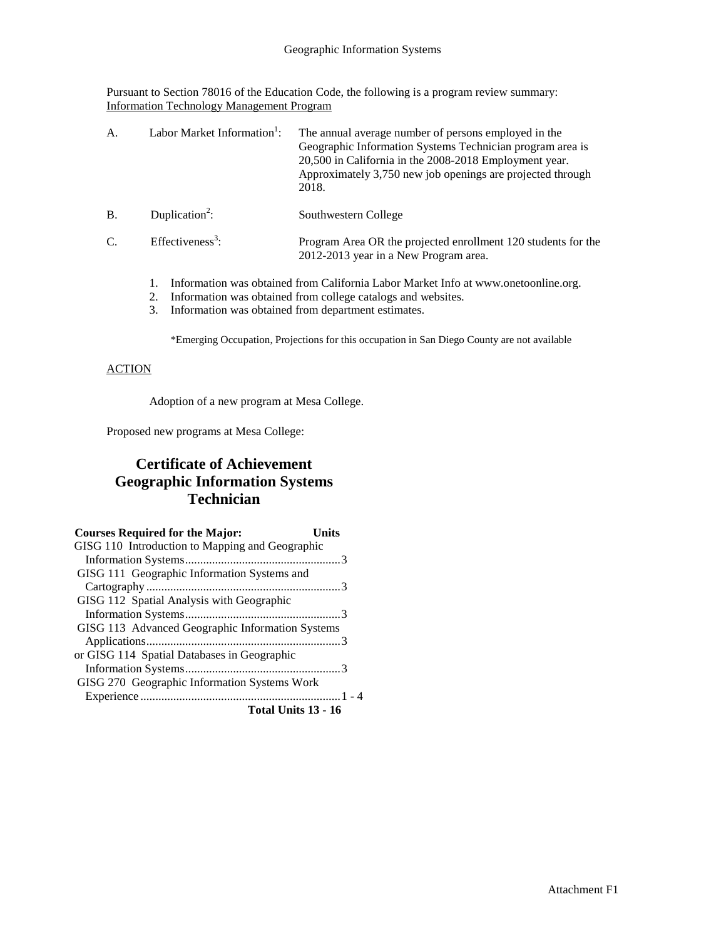Pursuant to Section 78016 of the Education Code, the following is a program review summary: Information Technology Management Program

| А.        | Labor Market Information <sup>1</sup> : | The annual average number of persons employed in the<br>Geographic Information Systems Technician program area is<br>20,500 in California in the 2008-2018 Employment year.<br>Approximately 3,750 new job openings are projected through<br>2018. |
|-----------|-----------------------------------------|----------------------------------------------------------------------------------------------------------------------------------------------------------------------------------------------------------------------------------------------------|
| <b>B.</b> | Duplication <sup>2</sup> :              | Southwestern College                                                                                                                                                                                                                               |
| C.        | Effectiveness <sup>3</sup> :            | Program Area OR the projected enrollment 120 students for the<br>2012-2013 year in a New Program area.                                                                                                                                             |
|           | 1.                                      | Information was obtained from California Labor Market Info at www.onetoonline.org.                                                                                                                                                                 |

- 2. Information was obtained from college catalogs and websites.
- 3. Information was obtained from department estimates.

\*Emerging Occupation, Projections for this occupation in San Diego County are not available

### **ACTION**

Adoption of a new program at Mesa College.

Proposed new programs at Mesa College:

# **Certificate of Achievement Geographic Information Systems Technician**

| <b>Courses Required for the Major:</b>           | Units |
|--------------------------------------------------|-------|
| GISG 110 Introduction to Mapping and Geographic  |       |
|                                                  |       |
| GISG 111 Geographic Information Systems and      |       |
|                                                  |       |
| GISG 112 Spatial Analysis with Geographic        |       |
|                                                  |       |
| GISG 113 Advanced Geographic Information Systems |       |
|                                                  |       |
| or GISG 114 Spatial Databases in Geographic      |       |
|                                                  |       |
| GISG 270 Geographic Information Systems Work     |       |
|                                                  |       |
| Total Units 13 - 16                              |       |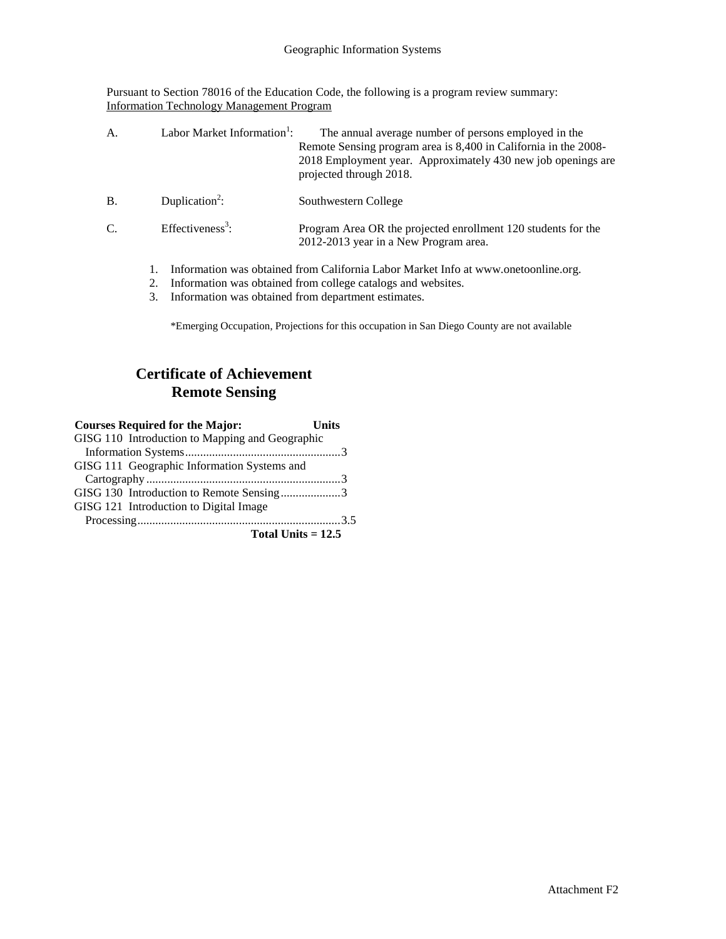Pursuant to Section 78016 of the Education Code, the following is a program review summary: Information Technology Management Program

| A.              | Labor Market Information <sup>1</sup> : | The annual average number of persons employed in the<br>Remote Sensing program area is 8,400 in California in the 2008-<br>2018 Employment year. Approximately 430 new job openings are<br>projected through 2018. |
|-----------------|-----------------------------------------|--------------------------------------------------------------------------------------------------------------------------------------------------------------------------------------------------------------------|
| <b>B.</b>       | Duplication <sup>2</sup> :              | Southwestern College                                                                                                                                                                                               |
| $\mathcal{C}$ . | Effectiveness <sup>3</sup> :            | Program Area OR the projected enrollment 120 students for the<br>2012-2013 year in a New Program area.                                                                                                             |
|                 |                                         | Information was obtained from California Labor Market Info at www.onetoonline.org.<br>Information was obtained from college catalogs and websites.                                                                 |

3. Information was obtained from department estimates.

\*Emerging Occupation, Projections for this occupation in San Diego County are not available

# **Certificate of Achievement Remote Sensing**

| <b>Courses Required for the Major:</b>          | Units |
|-------------------------------------------------|-------|
| GISG 110 Introduction to Mapping and Geographic |       |
|                                                 |       |
| GISG 111 Geographic Information Systems and     |       |
|                                                 |       |
| GISG 130 Introduction to Remote Sensing3        |       |
| GISG 121 Introduction to Digital Image          |       |
|                                                 |       |
| Total Units $= 12.5$                            |       |